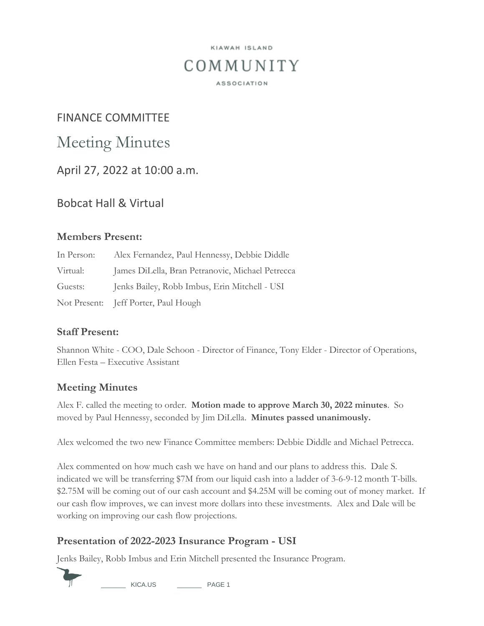## KIAWAH ISLAND COMMUNITY **ASSOCIATION**

## FINANCE COMMITTEE

# Meeting Minutes

April 27, 2022 at 10:00 a.m.

## Bobcat Hall & Virtual

#### **Members Present:**

| In Person: | Alex Fernandez, Paul Hennessy, Debbie Diddle     |
|------------|--------------------------------------------------|
| Virtual:   | James DiLella, Bran Petranovic, Michael Petrecca |
| Guests:    | Jenks Bailey, Robb Imbus, Erin Mitchell - USI    |
|            | Not Present: Jeff Porter, Paul Hough             |

#### **Staff Present:**

Shannon White - COO, Dale Schoon - Director of Finance, Tony Elder - Director of Operations, Ellen Festa – Executive Assistant

#### **Meeting Minutes**

Alex F. called the meeting to order. **Motion made to approve March 30, 2022 minutes**. So moved by Paul Hennessy, seconded by Jim DiLella. **Minutes passed unanimously.**

Alex welcomed the two new Finance Committee members: Debbie Diddle and Michael Petrecca.

Alex commented on how much cash we have on hand and our plans to address this. Dale S. indicated we will be transferring \$7M from our liquid cash into a ladder of 3-6-9-12 month T-bills. \$2.75M will be coming out of our cash account and \$4.25M will be coming out of money market. If our cash flow improves, we can invest more dollars into these investments. Alex and Dale will be working on improving our cash flow projections.

#### **Presentation of 2022-2023 Insurance Program - USI**

Jenks Bailey, Robb Imbus and Erin Mitchell presented the Insurance Program.



\_\_\_\_\_\_\_ KICA.US \_\_\_\_\_\_\_ PAGE 1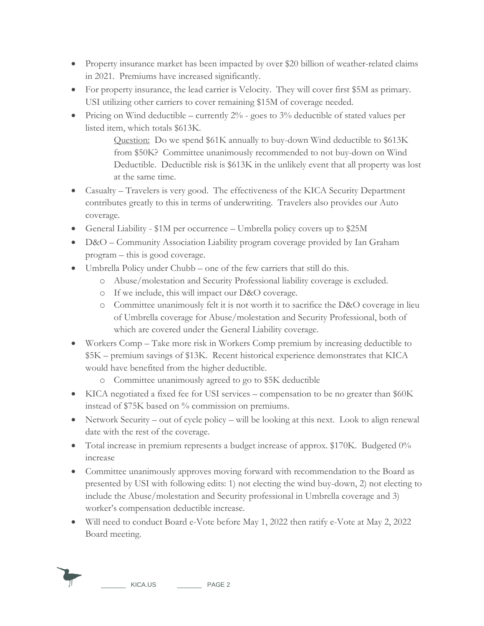- Property insurance market has been impacted by over \$20 billion of weather-related claims in 2021. Premiums have increased significantly.
- For property insurance, the lead carrier is Velocity. They will cover first \$5M as primary. USI utilizing other carriers to cover remaining \$15M of coverage needed.
- Pricing on Wind deductible currently  $2\%$  goes to  $3\%$  deductible of stated values per listed item, which totals \$613K.

Question: Do we spend \$61K annually to buy-down Wind deductible to \$613K from \$50K? Committee unanimously recommended to not buy-down on Wind Deductible. Deductible risk is \$613K in the unlikely event that all property was lost at the same time.

- Casualty Travelers is very good. The effectiveness of the KICA Security Department contributes greatly to this in terms of underwriting. Travelers also provides our Auto coverage.
- General Liability \$1M per occurrence Umbrella policy covers up to \$25M
- D&O Community Association Liability program coverage provided by Ian Graham program – this is good coverage.
- Umbrella Policy under Chubb one of the few carriers that still do this.
	- o Abuse/molestation and Security Professional liability coverage is excluded.
	- o If we include, this will impact our D&O coverage.
	- o Committee unanimously felt it is not worth it to sacrifice the D&O coverage in lieu of Umbrella coverage for Abuse/molestation and Security Professional, both of which are covered under the General Liability coverage.
- Workers Comp Take more risk in Workers Comp premium by increasing deductible to \$5K – premium savings of \$13K. Recent historical experience demonstrates that KICA would have benefited from the higher deductible.
	- o Committee unanimously agreed to go to \$5K deductible
- KICA negotiated a fixed fee for USI services compensation to be no greater than \$60K instead of \$75K based on % commission on premiums.
- Network Security out of cycle policy will be looking at this next. Look to align renewal date with the rest of the coverage.
- Total increase in premium represents a budget increase of approx. \$170K. Budgeted 0% increase
- Committee unanimously approves moving forward with recommendation to the Board as presented by USI with following edits: 1) not electing the wind buy-down, 2) not electing to include the Abuse/molestation and Security professional in Umbrella coverage and 3) worker's compensation deductible increase.
- Will need to conduct Board e-Vote before May 1, 2022 then ratify e-Vote at May 2, 2022 Board meeting.

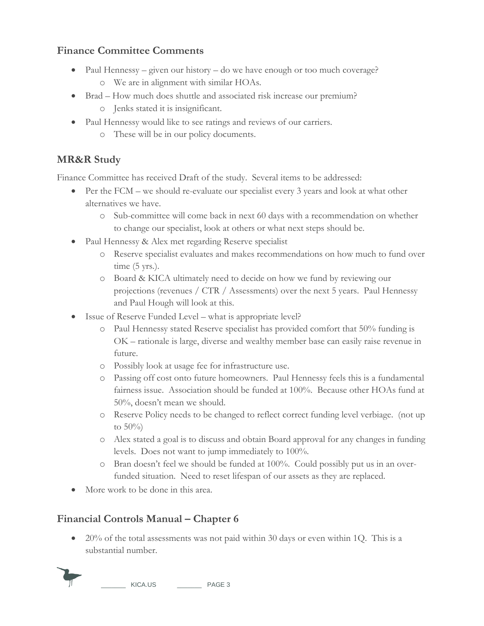### **Finance Committee Comments**

- Paul Hennessy given our history do we have enough or too much coverage?
	- o We are in alignment with similar HOAs.
- Brad How much does shuttle and associated risk increase our premium?
	- o Jenks stated it is insignificant.
- Paul Hennessy would like to see ratings and reviews of our carriers.
	- o These will be in our policy documents.

## **MR&R Study**

Finance Committee has received Draft of the study. Several items to be addressed:

- Per the FCM we should re-evaluate our specialist every 3 years and look at what other alternatives we have.
	- o Sub-committee will come back in next 60 days with a recommendation on whether to change our specialist, look at others or what next steps should be.
- Paul Hennessy & Alex met regarding Reserve specialist
	- o Reserve specialist evaluates and makes recommendations on how much to fund over time  $(5 \text{ yrs.})$ .
	- o Board & KICA ultimately need to decide on how we fund by reviewing our projections (revenues / CTR / Assessments) over the next 5 years. Paul Hennessy and Paul Hough will look at this.
- Issue of Reserve Funded Level what is appropriate level?
	- o Paul Hennessy stated Reserve specialist has provided comfort that 50% funding is OK – rationale is large, diverse and wealthy member base can easily raise revenue in future.
	- o Possibly look at usage fee for infrastructure use.
	- o Passing off cost onto future homeowners. Paul Hennessy feels this is a fundamental fairness issue. Association should be funded at 100%. Because other HOAs fund at 50%, doesn't mean we should.
	- o Reserve Policy needs to be changed to reflect correct funding level verbiage. (not up to  $50\%$
	- o Alex stated a goal is to discuss and obtain Board approval for any changes in funding levels. Does not want to jump immediately to 100%.
	- o Bran doesn't feel we should be funded at 100%. Could possibly put us in an overfunded situation. Need to reset lifespan of our assets as they are replaced.
- More work to be done in this area.

## **Financial Controls Manual – Chapter 6**

 20% of the total assessments was not paid within 30 days or even within 1Q. This is a substantial number.

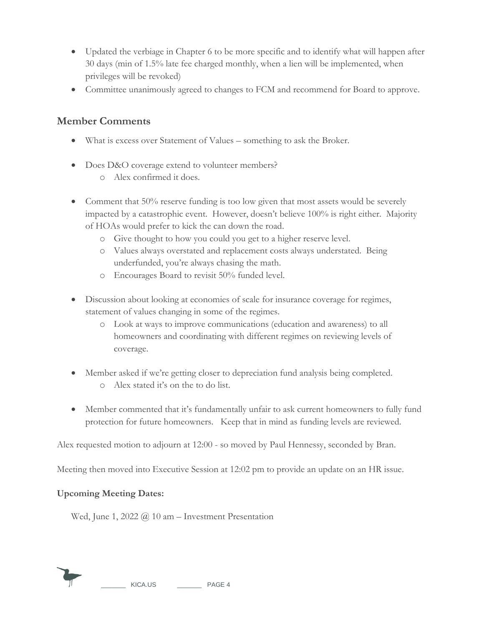- Updated the verbiage in Chapter 6 to be more specific and to identify what will happen after 30 days (min of 1.5% late fee charged monthly, when a lien will be implemented, when privileges will be revoked)
- Committee unanimously agreed to changes to FCM and recommend for Board to approve.

#### **Member Comments**

- What is excess over Statement of Values something to ask the Broker.
- Does D&O coverage extend to volunteer members?
	- o Alex confirmed it does.
- Comment that 50% reserve funding is too low given that most assets would be severely impacted by a catastrophic event. However, doesn't believe 100% is right either. Majority of HOAs would prefer to kick the can down the road.
	- o Give thought to how you could you get to a higher reserve level.
	- o Values always overstated and replacement costs always understated. Being underfunded, you're always chasing the math.
	- o Encourages Board to revisit 50% funded level.
- Discussion about looking at economies of scale for insurance coverage for regimes, statement of values changing in some of the regimes.
	- o Look at ways to improve communications (education and awareness) to all homeowners and coordinating with different regimes on reviewing levels of coverage.
- Member asked if we're getting closer to depreciation fund analysis being completed. o Alex stated it's on the to do list.
- Member commented that it's fundamentally unfair to ask current homeowners to fully fund protection for future homeowners. Keep that in mind as funding levels are reviewed.

Alex requested motion to adjourn at 12:00 - so moved by Paul Hennessy, seconded by Bran.

Meeting then moved into Executive Session at 12:02 pm to provide an update on an HR issue.

#### **Upcoming Meeting Dates:**

Wed, June 1, 2022  $\omega$  10 am – Investment Presentation